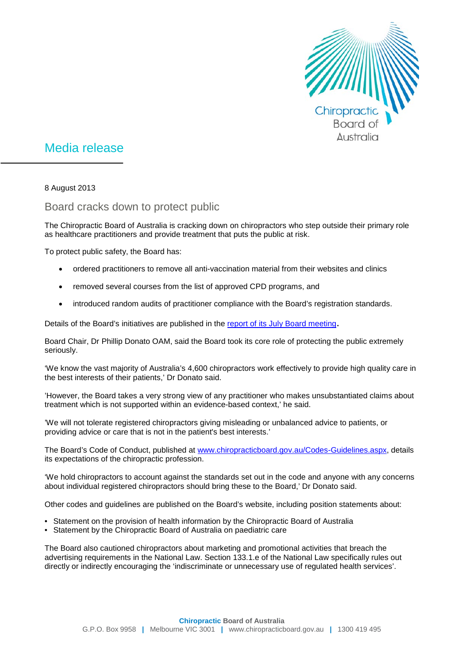

## Media release

8 August 2013

## Board cracks down to protect public

The Chiropractic Board of Australia is cracking down on chiropractors who step outside their primary role as healthcare practitioners and provide treatment that puts the public at risk.

To protect public safety, the Board has:

- ordered practitioners to remove all anti-vaccination material from their websites and clinics
- removed several courses from the list of approved CPD programs, and
- introduced random audits of practitioner compliance with the Board's registration standards.

Details of the Board's initiatives are published in the [report of its July Board meeting.](http://www.chiropracticboard.gov.au/News/2013-08-08-communique.aspx)

Board Chair, Dr Phillip Donato OAM, said the Board took its core role of protecting the public extremely seriously.

'We know the vast majority of Australia's 4,600 chiropractors work effectively to provide high quality care in the best interests of their patients,' Dr Donato said.

'However, the Board takes a very strong view of any practitioner who makes unsubstantiated claims about treatment which is not supported within an evidence-based context,' he said.

'We will not tolerate registered chiropractors giving misleading or unbalanced advice to patients, or providing advice or care that is not in the patient's best interests.'

The Board's Code of Conduct, published at [www.chiropracticboard.gov.au/Codes-Guidelines.aspx,](http://www.chiropracticboard.gov.au/Codes-Guidelines.aspx) details its expectations of the chiropractic profession.

'We hold chiropractors to account against the standards set out in the code and anyone with any concerns about individual registered chiropractors should bring these to the Board,' Dr Donato said.

Other codes and guidelines are published on the Board's website, including position statements about:

- [Statement on the provision of health information by the Chiropractic Board of Australia](http://www.chiropracticboard.gov.au/documents/default.aspx?record=WD13%2f10043&dbid=AP&chksum=Yxcg%2bGK0L2woeFOzPxlg2A%3d%3d)
- [Statement by the Chiropractic Board of Australia on paediatric care](http://www.chiropracticboard.gov.au/documents/default.aspx?record=WD13%2f10142&dbid=AP&chksum=HoT6iZnkLZrqjfqPejl%2fYg%3d%3d)

The Board also cautioned chiropractors about marketing and promotional activities that breach the advertising requirements in the National Law. Section 133.1.e of the National Law specifically rules out directly or indirectly encouraging the 'indiscriminate or unnecessary use of regulated health services'.